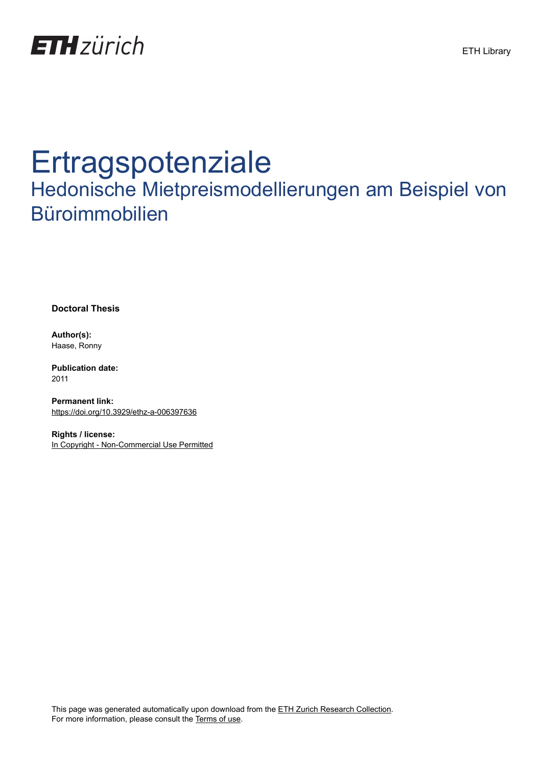

# Ertragspotenziale

## Hedonische Mietpreismodellierungen am Beispiel von Büroimmobilien

**Doctoral Thesis**

**Author(s):** Haase, Ronny

**Publication date:** 2011

**Permanent link:** <https://doi.org/10.3929/ethz-a-006397636>

**Rights / license:** [In Copyright - Non-Commercial Use Permitted](http://rightsstatements.org/page/InC-NC/1.0/)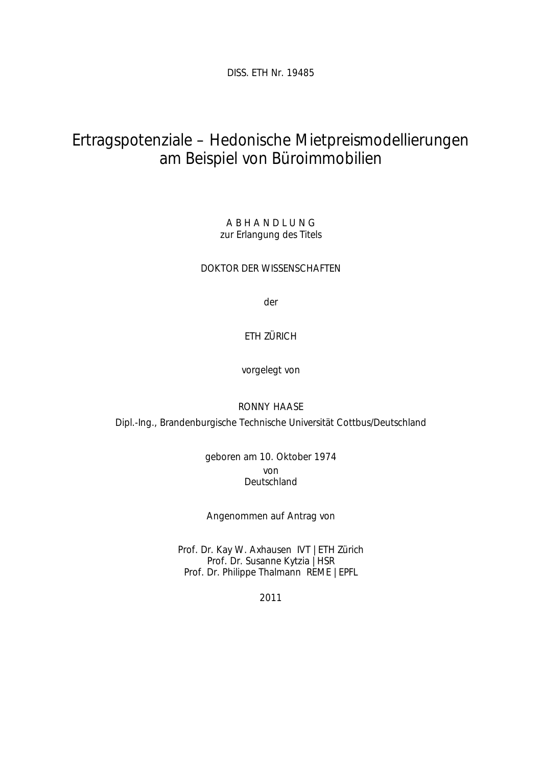DISS. ETH Nr. 19485

### Ertragspotenziale – Hedonische Mietpreismodellierungen am Beispiel von Büroimmobilien

A B H A N D L U N G zur Erlangung des Titels

DOKTOR DER WISSENSCHAFTEN

der

#### ETH ZÜRICH

vorgelegt von

#### RONNY HAASE

Dipl.-Ing., Brandenburgische Technische Universität Cottbus/Deutschland

geboren am 10. Oktober 1974 von Deutschland

Angenommen auf Antrag von

Prof. Dr. Kay W. Axhausen IVT | ETH Zürich Prof. Dr. Susanne Kytzia | HSR Prof. Dr. Philippe Thalmann REME | EPFL

2011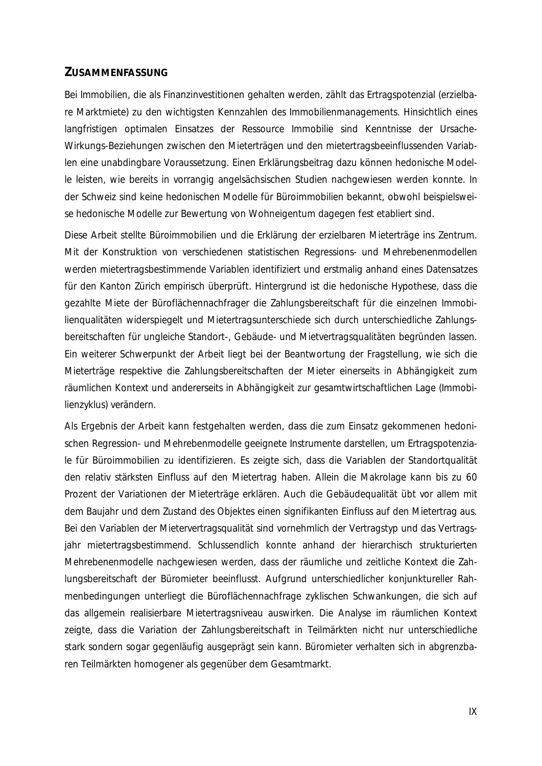#### **ZUSAMMENFASSUNG**

Bei Immobilien, die als Finanzinvestitionen gehalten werden, zählt das Ertragspotenzial (erzielbare Marktmiete) zu den wichtigsten Kennzahlen des Immobilienmanagements. Hinsichtlich eines langfristigen optimalen Einsatzes der Ressource Immobilie sind Kenntnisse der Ursache-Wirkungs-Beziehungen zwischen den Mieterträgen und den mietertragsbeeinflussenden Variablen eine unabdingbare Voraussetzung. Einen Erklärungsbeitrag dazu können hedonische Modelle leisten, wie bereits in vorrangig angelsächsischen Studien nachgewiesen werden konnte. In der Schweiz sind keine hedonischen Modelle für Büroimmobilien bekannt, obwohl beispielsweise hedonische Modelle zur Bewertung von Wohneigentum dagegen fest etabliert sind.

Diese Arbeit stellte Büroimmobilien und die Erklärung der erzielbaren Mieterträge ins Zentrum. Mit der Konstruktion von verschiedenen statistischen Regressions- und Mehrebenenmodellen werden mietertragsbestimmende Variablen identifiziert und erstmalig anhand eines Datensatzes für den Kanton Zürich empirisch überprüft. Hintergrund ist die hedonische Hypothese, dass die gezahlte Miete der Büroflächennachfrager die Zahlungsbereitschaft für die einzelnen Immobilienqualitäten widerspiegelt und Mietertragsunterschiede sich durch unterschiedliche Zahlungsbereitschaften für ungleiche Standort-, Gebäude- und Mietvertragsqualitäten begründen lassen. Ein weiterer Schwerpunkt der Arbeit liegt bei der Beantwortung der Fragstellung, wie sich die Mieterträge respektive die Zahlungsbereitschaften der Mieter einerseits in Abhängigkeit zum räumlichen Kontext und andererseits in Abhängigkeit zur gesamtwirtschaftlichen Lage (Immobilienzyklus) verändern.

Als Ergebnis der Arbeit kann festgehalten werden, dass die zum Einsatz gekommenen hedonischen Regression- und Mehrebenmodelle geeignete Instrumente darstellen, um Ertragspotenziale für Büroimmobilien zu identifizieren. Es zeigte sich, dass die Variablen der Standortqualität den relativ stärksten Einfluss auf den Mietertrag haben. Allein die Makrolage kann bis zu 60 Prozent der Variationen der Mieterträge erklären. Auch die Gebäudequalität übt vor allem mit dem Baujahr und dem Zustand des Objektes einen signifikanten Einfluss auf den Mietertrag aus. Bei den Variablen der Mietervertragsqualität sind vornehmlich der Vertragstyp und das Vertragsjahr mietertragsbestimmend. Schlussendlich konnte anhand der hierarchisch strukturierten Mehrebenenmodelle nachgewiesen werden, dass der räumliche und zeitliche Kontext die Zahlungsbereitschaft der Büromieter beeinflusst. Aufgrund unterschiedlicher konjunktureller Rahmenbedingungen unterliegt die Büroflächennachfrage zyklischen Schwankungen, die sich auf das allgemein realisierbare Mietertragsniveau auswirken. Die Analyse im räumlichen Kontext zeigte, dass die Variation der Zahlungsbereitschaft in Teilmärkten nicht nur unterschiedliche stark sondern sogar gegenläufig ausgeprägt sein kann. Büromieter verhalten sich in abgrenzbaren Teilmärkten homogener als gegenüber dem Gesamtmarkt.